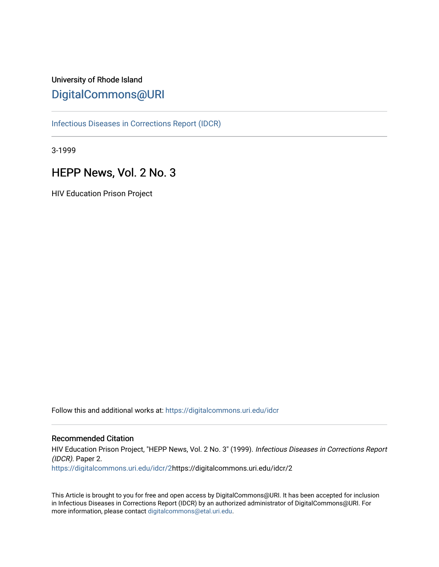## University of Rhode Island [DigitalCommons@URI](https://digitalcommons.uri.edu/)

[Infectious Diseases in Corrections Report \(IDCR\)](https://digitalcommons.uri.edu/idcr)

3-1999

## HEPP News, Vol. 2 No. 3

HIV Education Prison Project

Follow this and additional works at: [https://digitalcommons.uri.edu/idcr](https://digitalcommons.uri.edu/idcr?utm_source=digitalcommons.uri.edu%2Fidcr%2F2&utm_medium=PDF&utm_campaign=PDFCoverPages)

### Recommended Citation

HIV Education Prison Project, "HEPP News, Vol. 2 No. 3" (1999). Infectious Diseases in Corrections Report (IDCR). Paper 2. [https://digitalcommons.uri.edu/idcr/2](https://digitalcommons.uri.edu/idcr/2?utm_source=digitalcommons.uri.edu%2Fidcr%2F2&utm_medium=PDF&utm_campaign=PDFCoverPages)https://digitalcommons.uri.edu/idcr/2

This Article is brought to you for free and open access by DigitalCommons@URI. It has been accepted for inclusion in Infectious Diseases in Corrections Report (IDCR) by an authorized administrator of DigitalCommons@URI. For more information, please contact [digitalcommons@etal.uri.edu.](mailto:digitalcommons@etal.uri.edu)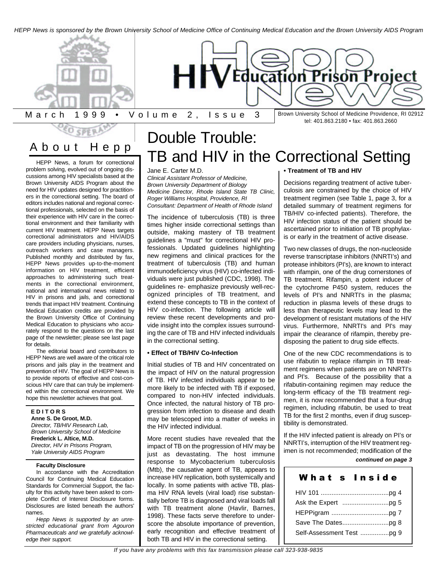*HEPP News is sponsored by the Brown University School of Medicine Office of Continuing Medical Education and the Brown University AIDS Program*





March 1999 • Volume 2, Issue 3

Brown University School of Medicine Providence, RI 02912 tel: 401.863.2180 • fax: 401.863.2660

# About Hep p

problem solving, evolved out of ongoing discussions among HIV specialists based at the Brown University AIDS Program about the need for HIV updates designed for practitioners in the correctional setting. The board of editors includes national and regional correctional professionals, selected on the basis of their experience with HIV care in the correctional environment and their familiarity with current HIV treatment. HEPP News targets correctional administrators and HIV/AIDS care providers including physicians, nurses, outreach workers and case managers. Published monthly and distributed by fax, HEPP News provides up-to-the-moment information on HIV treatment, efficient approaches to administering such treatments in the correctional environment, national and international news related to HIV in prisons and jails, and correctional trends that impact HIV treatment. Continuing Medical Education credits are provided by the Brown University Office of Continuing Medical Education to physicians who accurately respond to the questions on the last page of the newsletter; please see last page for details.

The editorial board and contributors to HEPP News are well aware of the critical role prisons and jails play in the treatment and prevention of HIV. The goal of HEPP News is to provide reports of effective and cost-conscious HIV care that can truly be implemented within the correctional environment. We hope this newsletter achieves that goal.

**E D I T O R S Anne S. De Groot, M.D.** *Director, TB/HIV Research Lab, Brown University School of Medicine* **Frederick L. Altice, M.D.** *Director, HIV in Prisons Program, Yale University AIDS Program*

#### **Faculty Disclosure**

In accordance with the Accreditation Council for Continuing Medical Education Standards for Commercial Support, the faculty for this activity have been asked to complete Conflict of Interest Disclosure forms. Disclosures are listed beneath the authors' names.

*Hepp News is supported by an unrestricted educational grant from Agouron Pharmaceuticals and we gratefully acknowledge their support.*

# Double Trouble:  $\frac{12.533411110p}{145}$  TB and HIV in the Correctional Setting

### Jane E. Carter M.D.

*Clinical Assistant Professor of Medicine, Brown University Department of Biology Medicine Director, Rhode Island State TB Clinic, Roger Williams Hospital, Providence, RI Consultant: Department of Health of Rhode Island*

The incidence of tuberculosis (TB) is three times higher inside correctional settings than outside, making mastery of TB treatment guidelines a "must" for correctional HIV professionals. Updated guidelines highlighting new regimens and clinical practices for the treatment of tuberculosis (TB) and human immunodeficiency virus (HIV) co-infected individuals were just published (CDC, 1998). The guidelines re- emphasize previously well-recognized principles of TB treatment, and extend these concepts to TB in the context of HIV co-infection. The following article will review these recent developments and provide insight into the complex issues surrounding the care of TB and HIV infected individuals in the correctional setting.

#### **• Effect of TB/HIV Co-Infection**

Initial studies of TB and HIV concentrated on the impact of HIV on the natural progression of TB. HIV infected individuals appear to be more likely to be infected with TB if exposed, compared to non-HIV infected individuals. Once infected, the natural history of TB progression from infection to disease and death may be telescoped into a matter of weeks in the HIV infected individual.

More recent studies have revealed that the impact of TB on the progression of HIV may be just as devastating. The host immune response to Mycobacterium tuberculosis (Mtb), the causative agent of TB, appears to increase HIV replication, both systemically and locally. In some patients with active TB, plasma HIV RNA levels (viral load) rise substantially before TB is diagnosed and viral loads fall with TB treatment alone (Havlir, Barnes, 1998). These facts serve therefore to underscore the absolute importance of prevention, early recognition and effective treatment of both TB and HIV in the correctional setting.

#### **• Treatment of TB and HIV**

Decisions regarding treatment of active tuberculosis are constrained by the choice of HIV treatment regimen (see Table 1, page 3, for a detailed summary of treatment regimens for TB/HIV co-infected patients). Therefore, the HIV infection status of the patient should be ascertained prior to initiation of TB prophylaxis or early in the treatment of active disease.

Two new classes of drugs, the non-nucleoside reverse transcriptase inhibitors (NNRTI's) and protease inhibitors (PI's), are known to interact with rifampin, one of the drug cornerstones of TB treatment. Rifampin, a potent inducer of the cytochrome P450 system, reduces the levels of PI's and NNRTI's in the plasma; reduction in plasma levels of these drugs to less than therapeutic levels may lead to the development of resistant mutations of the HIV virus. Furthermore, NNRTI's and PI's may impair the clearance of rifampin, thereby predisposing the patient to drug side effects.

One of the new CDC recommendations is to use rifabutin to replace rifampin in TB treatment regimens when patients are on NNRTI's and PI's. Because of the possibility that a rifabutin-containing regimen may reduce the long-term efficacy of the TB treatment regimen, it is now recommended that a four-drug regimen, including rifabutin, be used to treat TB for the first 2 months, even if drug susceptibility is demonstrated.

If the HIV infected patient is already on PI's or NNRTI's, interruption of the HIV treatment regimen is not recommended; modification of the

### *continued on page 3*

| What s Inside |
|---------------|
|               |
|               |
|               |
|               |
|               |
|               |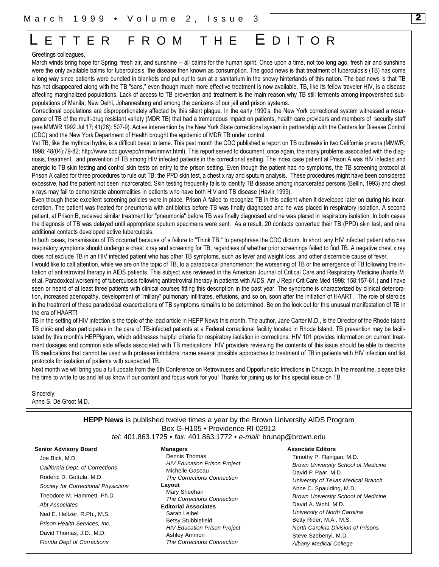# ETTER FROM THE EDITOR

#### Greetings colleagues,

March winds bring hope for Spring, fresh air, and sunshine -- all balms for the human spirit. Once upon a time, not too long ago, fresh air and sunshine were the only available balms for tuberculosis, the disease then known as consumption. The good news is that treatment of tuberculosis (TB) has come a long way since patients were bundled in blankets and put out to sun at a sanitarium in the snowy hinterlands of this nation. The bad news is that TB has not disappeared along with the TB "sans," even though much more effective treatment is now available. TB, like its fellow traveler HIV, is a disease affecting marginalized populations. Lack of access to TB prevention and treatment is the main reason why TB still ferments among impoverished subpopulations of Manila, New Delhi, Johannesburg and among the denizens of our jail and prison systems.

Correctional populations are disproportionately affected by this silent plague. In the early 1990's, the New York correctional system witnessed a resurgence of TB of the multi-drug resistant variety (MDR TB) that had a tremendous impact on patients, health care providers and members of security staff (see MMWR 1992 Jul 17; 41(28): 507-9). Active intervention by the New York State correctional system in partnership with the Centers for Disease Control (CDC) and the New York Department of Health brought the epidemic of MDR TB under control.

Yet TB, like the mythical hydra, is a difficult beast to tame. This past month the CDC published a report on TB outbreaks in two California prisons (MMWR, 1998; 48(04):79-82; http://www.cdc.gov/epo/mmwr/mmwr.html). This report served to document, once again, the many problems associated with the diagnosis, treatment, and prevention of TB among HIV infected patients in the correctional setting. The index case patient at Prison A was HIV infected and anergic to TB skin testing and control skin tests on entry to the prison setting. Even though the patient had no symptoms, the TB screening protocol at Prison A called for three procedures to rule out TB: the PPD skin test, a chest x ray and sputum analysis. These procedures might have been considered excessive, had the patient not been incarcerated. Skin testing frequently fails to identify TB disease among incarcerated persons (Bellin, 1993) and chest x rays may fail to demonstrate abnormalities in patients who have both HIV and TB disease (Havlir 1999).

Even though these excellent screening policies were in place, Prison A failed to recognize TB in this patient when it developed later on during his incarceration. The patient was treated for pneumonia with antibiotics before TB was finally diagnosed and he was placed in respiratory isolation. A second patient, at Prison B, received similar treatment for "pneumonia" before TB was finally diagnosed and he was placed in respiratory isolation. In both cases the diagnosis of TB was delayed until appropriate sputum specimens were sent. As a result, 20 contacts converted their TB (PPD) skin test, and nine additional contacts developed active tuberculosis.

In both cases, transmission of TB occurred because of a failure to "Think TB," to paraphrase the CDC dictum. In short, any HIV infected patient who has respiratory symptoms should undergo a chest x ray and screening for TB, regardless of whether prior screenings failed to find TB. A negative chest x ray does not exclude TB in an HIV infected patient who has other TB symptoms, such as fever and weight loss, and other discernible cause of fever.

I would like to call attention, while we are on the topic of TB, to a paradoxical phenomenon: the worsening of TB or the emergence of TB following the initiation of antiretroviral therapy in AIDS patients. This subject was reviewed in the American Journal of Critical Care and Respiratory Medicine (Narita M. et.al. Paradoxical worsening of tuberculosis following antiretroviral therapy in patients with AIDS. Am J Repir Crit Care Med 1998; 158:157-61.) and I have seen or heard of at least three patients with clinical courses fitting this description in the past year. The syndrome is characterized by clinical deterioration, increased adenopathy, development of "miliary" pulmonary infiltrates, effusions, and so on, soon after the initiation of HAART. The role of steroids in the treatment of these paradoxical exacerbations of TB symptoms remains to be determined. Be on the look out for this unusual manifestation of TB in the era of HAART!

TB in the setting of HIV infection is the topic of the lead article in HEPP News this month. The author, Jane Carter M.D., is the Director of the Rhode Island TB clinic and also participates in the care of TB-infected patients at a Federal correctional facility located in Rhode Island. TB prevention may be facilitated by this month's HEPPigram, which addresses helpful criteria for respiratory isolation in corrections. HIV 101 provides information on current treatment dosages and common side effects associated with TB medications. HIV providers reviewing the contents of this issue should be able to describe TB medications that cannot be used with protease inhibitors, name several possible approaches to treatment of TB in patients with HIV infection and list protocols for isolation of patients with suspected TB.

Next month we will bring you a full update from the 6th Conference on Retroviruses and Opportunistic Infections in Chicago. In the meantime, please take the time to write to us and let us know if our content and focus work for you! Thanks for joining us for this special issue on TB.

Sincerely, Anne S. De Groot M.D.

#### **HEPP News** is published twelve times a year by the Brown University AIDS Program Box G-H105 • Providence RI 02912 *tel:* 401.863.1725 • *fax:* 401.863.1772 • *e-mail:* brunap@brown.edu

#### **Senior Advisory Board**

Joe Bick, M.D. *California Dept. of Corrections* Roderic D. Gottula, M.D. *Society for Correctional Physicians* Theodore M. Hammett, Ph.D. *Abt Associates* Ned E. Heltzer, R.Ph., M.S. *Prison Health Services, Inc.* David Thomas, J.D., M.D. *Florida Dept of Corrections*

## **Managers**

Dennis Thomas *HIV Education Prison Project* Michelle Gaseau *The Corrections Connection* **Layout**  Mary Sheehan *The Corrections Connection* **Editorial Associates** Sarah Leibel Betsy Stubblefield *HIV Education Prison Project* Ashley Ammon *The Corrections Connection*

#### **Associate Editors**

Timothy P. Flanigan, M.D. *Brown University School of Medicine* David P. Paar, M.D. *University of Texas Medical Branch* Anne C. Spaulding, M.D. *Brown University School of Medicine* David A. Wohl, M.D. *University of North Carolina* Betty Rider, M.A., M.S. *North Carolina Division of Prisons* Steve Szebenyi, M.D. *Albany Medical College*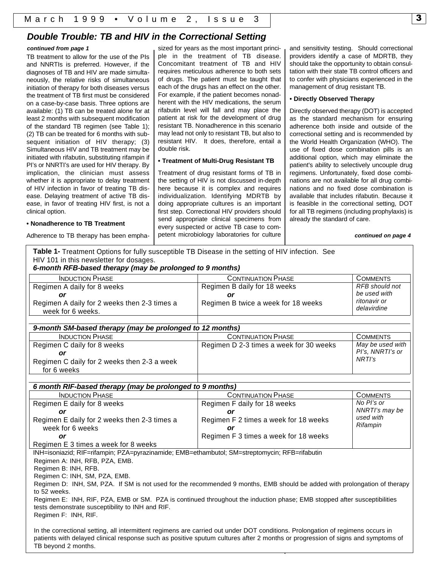## *Double Trouble: TB and HIV in the Correctional Setting*

#### *continued from page 1*

TB treatment to allow for the use of the PIs and NNRTIs is preferred. However, if the diagnoses of TB and HIV are made simultaneously, the relative risks of simultaneous initiation of therapy for both diseases versus the treatment of TB first must be considered on a case-by-case basis. Three options are available: (1) TB can be treated alone for at least 2 months with subsequent modification of the standard TB regimen (see Table 1); (2) TB can be treated for 6 months with subsequent initiation of HIV therapy; (3) Simultaneous HIV and TB treatment may be initiated with rifabutin, substituting rifampin if PI's or NNRTI's are used for HIV therapy. By implication, the clinician must assess whether it is appropriate to delay treatment of HIV infection in favor of treating TB disease. Delaying treatment of active TB disease, in favor of treating HIV first, is not a clinical option.

#### **• Nonadherence to TB Treatment**

Adherence to TB therapy has been empha-

sized for years as the most important principle in the treatment of TB disease. Concomitant treatment of TB and HIV requires meticulous adherence to both sets of drugs. The patient must be taught that each of the drugs has an effect on the other. For example, if the patient becomes nonadherent with the HIV medications, the serum rifabutin level will fall and may place the patient at risk for the development of drug resistant TB. Nonadherence in this scenario may lead not only to resistant TB, but also to resistant HIV. It does, therefore, entail a double risk.

#### **• Treatment of Multi-Drug Resistant TB**

Treatment of drug resistant forms of TB in the setting of HIV is not discussed in-depth here because it is complex and requires individualization. Identifying MDRTB by doing appropriate cultures is an important first step. Correctional HIV providers should send appropriate clinical specimens from every suspected or active TB case to competent microbiology laboratories for culture and sensitivity testing. Should correctional providers identify a case of MDRTB, they should take the opportunity to obtain consultation with their state TB control officers and to confer with physicians experienced in the management of drug resistant TB.

#### **• Directly Observed Therapy**

Directly observed therapy (DOT) is accepted as the standard mechanism for ensuring adherence both inside and outside of the correctional setting and is recommended by the World Health Organization (WHO). The use of fixed dose combination pills is an additional option, which may eliminate the patient's ability to selectively uncouple drug regimens. Unfortunately, fixed dose combinations are not available for all drug combinations and no fixed dose combination is available that includes rifabutin. Because it is feasible in the correctional setting, DOT for all TB regimens (including prophylaxis) is already the standard of care.

*continued on page 4*

| Table 1- Treatment Options for fully susceptible TB Disease in the setting of HIV infection. See |  |
|--------------------------------------------------------------------------------------------------|--|
| HIV 101 in this newsletter for dosages.                                                          |  |
| 6 month DED hasod therany (may be prolonged to 0 months)                                         |  |

| o mondi ni B wabba dhorapy (may wo profenged to o mondio)         |                                     |                             |  |  |  |  |  |  |
|-------------------------------------------------------------------|-------------------------------------|-----------------------------|--|--|--|--|--|--|
| <b>INDUCTION PHASE</b>                                            | <b>CONTINUATION PHASE</b>           | COMMENTS                    |  |  |  |  |  |  |
| Regimen A daily for 8 weeks                                       | Regimen B daily for 18 weeks        | RFB should not              |  |  |  |  |  |  |
| or                                                                |                                     | be used with                |  |  |  |  |  |  |
| Regimen A daily for 2 weeks then 2-3 times a<br>week for 6 weeks. | Regimen B twice a week for 18 weeks | ritonavir or<br>delavirdine |  |  |  |  |  |  |
|                                                                   |                                     |                             |  |  |  |  |  |  |

| 9-month SM-based therapy (may be prolonged to 12 months)   |                                         |                                      |  |  |  |  |  |
|------------------------------------------------------------|-----------------------------------------|--------------------------------------|--|--|--|--|--|
| <b>INDUCTION PHASE</b>                                     | <b>CONTINUATION PHASE</b>               | <b>COMMENTS</b>                      |  |  |  |  |  |
| Regimen C daily for 8 weeks<br>or                          | Regimen D 2-3 times a week for 30 weeks | May be used with<br>PI's, NNRTI's or |  |  |  |  |  |
| Regimen C daily for 2 weeks then 2-3 a week<br>for 6 weeks |                                         | NRTI's                               |  |  |  |  |  |

| 6 month RIF-based therapy (may be prolonged to 9 months) |                                       |                 |  |  |  |  |  |
|----------------------------------------------------------|---------------------------------------|-----------------|--|--|--|--|--|
| <b>INDUCTION PHASE</b>                                   | <b>CONTINUATION PHASE</b>             | <b>COMMENTS</b> |  |  |  |  |  |
| Regimen E daily for 8 weeks                              | Regimen F daily for 18 weeks          | No Pl's or      |  |  |  |  |  |
| or                                                       | or                                    | NNRTI's may be  |  |  |  |  |  |
| Regimen E daily for 2 weeks then 2-3 times a             | Regimen F 2 times a week for 18 weeks | used with       |  |  |  |  |  |
| week for 6 weeks                                         | or                                    | Rifampin        |  |  |  |  |  |
| or                                                       | Regimen F 3 times a week for 18 weeks |                 |  |  |  |  |  |
| Regimen E 3 times a week for 8 weeks                     |                                       |                 |  |  |  |  |  |

INH=isoniazid; RIF=rifampin; PZA=pyrazinamide; EMB=ethambutol; SM=streptomycin; RFB=rifabutin

Regimen A: INH, RFB, PZA, EMB.

Regimen B: INH, RFB.

Regimen C: INH, SM, PZA, EMB.

Regimen D: INH, SM, PZA. If SM is not used for the recommended 9 months, EMB should be added with prolongation of therapy to 52 weeks.

Regimen E: INH, RIF, PZA, EMB or SM. PZA is continued throughout the induction phase; EMB stopped after susceptibilities tests demonstrate susceptibility to INH and RIF.

Regimen F: INH, RIF.

In the correctional setting, all intermittent regimens are carried out under DOT conditions. Prolongation of regimens occurs in patients with delayed clinical response such as positive sputum cultures after 2 months or progression of signs and symptoms of TB beyond 2 months.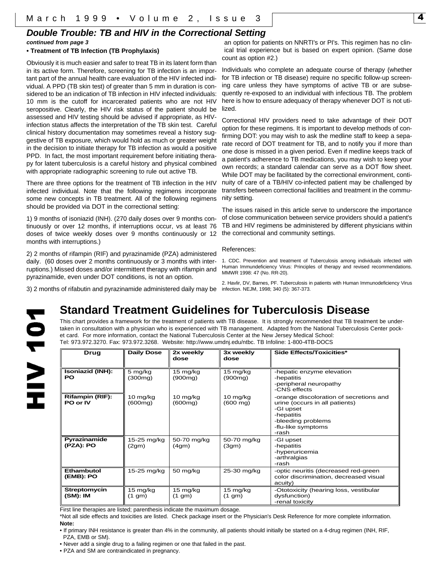## *Double Trouble: TB and HIV in the Correctional Setting*

## *continued from page 3*

#### **• Treatment of TB Infection (TB Prophylaxis)**

Obviously it is much easier and safer to treat TB in its latent form than in its active form. Therefore, screening for TB infection is an important part of the annual health care evaluation of the HIV infected individual. A PPD (TB skin test) of greater than 5 mm in duration is considered to be an indication of TB infection in HIV infected individuals: 10 mm is the cutoff for incarcerated patients who are not HIV seropositive. Clearly, the HIV risk status of the patient should be assessed and HIV testing should be advised if appropriate, as HIVinfection status affects the interpretation of the TB skin test. Careful clinical history documentation may sometimes reveal a history suggestive of TB exposure, which would hold as much or greater weight in the decision to initiate therapy for TB infection as would a positive PPD. In fact, the most important requirement before initiating therapy for latent tuberculosis is a careful history and physical combined with appropriate radiographic screening to rule out active TB.

There are three options for the treatment of TB infection in the HIV infected individual. Note that the following regimens incorporate some new concepts in TB treatment. All of the following regimens should be provided via DOT in the correctional setting:

1) 9 months of isoniazid (INH). (270 daily doses over 9 months continuously or over 12 months, if interruptions occur, vs at least 76 doses of twice weekly doses over 9 months continuously or 12 months with interruptions.)

2) 2 months of rifampin (RIF) and pyrazinamide (PZA) administered daily. (60 doses over 2 months continuously or 3 months with interruptions.) Missed doses and/or intermittent therapy with rifampin and pyrazinamide, even under DOT conditions, is not an option.

an option for patients on NNRTI's or PI's. This regimen has no clinical trial experience but is based on expert opinion. (Same dose count as option #2.)

Individuals who complete an adequate course of therapy (whether for TB infection or TB disease) require no specific follow-up screening care unless they have symptoms of active TB or are subsequently re-exposed to an individual with infectious TB. The problem here is how to ensure adequacy of therapy whenever DOT is not utilized.

Correctional HIV providers need to take advantage of their DOT option for these regimens. It is important to develop methods of confirming DOT: you may wish to ask the medline staff to keep a separate record of DOT treatment for TB, and to notify you if more than one dose is missed in a given period. Even if medline keeps track of a patient's adherence to TB medications, you may wish to keep your own records; a standard calendar can serve as a DOT flow sheet. While DOT may be facilitated by the correctional environment, continuity of care of a TB/HIV co-infected patient may be challenged by transfers between correctional facilities and treatment in the community setting.

The issues raised in this article serve to underscore the importance of close communication between service providers should a patient's TB and HIV regimens be administered by different physicians within the correctional and community settings.

#### References:

1. CDC. Prevention and treatment of Tuberculosis among individuals infected with Human Immundeficiency Virus: Principles of therapy and revised recommendations. MMWR 1998: 47 (No. RR-20).

2. Havlir, DV, Barnes, PF. Tuberculosis in patients with Human Immunodeficiency Virus

3) 2 months of rifabutin and pyrazinamide administered daily may be infection. NEJM, 1998; 340 (5): 367-373.

**NOL AIH** 

## **Standard Treatment Guidelines for Tuberculosis Disease**

This chart provides a framework for the treatment of patients with TB disease. It is strongly recommended that TB treatment be undertaken in consultation with a physician who is experienced with TB management. Adapted from the National Tuberculosis Center pocket card. For more information, contact the National Tuberculosis Center at the New Jersey Medical School: Tel: 973.972.3270. Fax: 973.972.3268. Website: http://www.umdnj.edu/ntbc. TB Infoline: 1-800-4TB-DOCS

| Drug                                 | <b>Daily Dose</b>     | 2x weekly<br>dose                | 3x weekly<br>dose                                      | Side Effects/Toxicities*                                                                                                                                  |
|--------------------------------------|-----------------------|----------------------------------|--------------------------------------------------------|-----------------------------------------------------------------------------------------------------------------------------------------------------------|
| <b>Isoniazid (INH):</b><br><b>PO</b> | 5 mg/kg<br>(300mg)    | 15 mg/kg<br>(900 <sub>ma</sub> ) | 15 mg/kg<br>(900 <sub>ma</sub> )                       | -hepatic enzyme elevation<br>-hepatitis<br>-peripheral neuropathy<br>-CNS effects                                                                         |
| <b>Rifampin (RIF):</b><br>PO or IV   | $10$ mg/kg<br>(600mg) | $10$ mg/kg<br>(600mg)            | $10 \frac{\text{mg}}{\text{kg}}$<br>$(600 \text{ mg})$ | -orange discoloration of secretions and<br>urine (occurs in all patients)<br>-GI upset<br>-hepatitis<br>-bleeding problems<br>-flu-like symptoms<br>-rash |
| Pyrazinamide<br>(PZA): PO            | 15-25 mg/kg<br>(2gm)  | 50-70 mg/kg<br>(4gm)             | 50-70 mg/kg<br>(3gm)                                   | -GI upset<br>-hepatitis<br>-hyperuricemia<br>-arthralgias<br>-rash                                                                                        |
| Ethambutol<br>(EMB): PO              | 15-25 mg/kg           | 50 mg/kg                         | 25-30 mg/kg                                            | -optic neuritis (decreased red-green<br>color discrimination, decreased visual<br>acuity)                                                                 |
| <b>Streptomycin</b><br>(SM): IM      | 15 mg/kg<br>(1 gm)    | 15 mg/kg<br>(1 gm)               | 15 mg/kg<br>(1 gm)                                     | -Ototoxicity (hearing loss, vestibular<br>dysfunction)<br>-renal toxicity                                                                                 |

First line therapies are listed; parenthesis indicate the maximum dosage.

\*Not all side effects and toxicities are listed. Check package insert or the Physician's Desk Reference for more complete information. **Note:** 

• If primary INH resistance is greater than 4% in the community, all patients should initially be started on a 4-drug regimen (INH, RIF, PZA, EMB or SM).

• Never add a single drug to a failing regimen or one that failed in the past.

• PZA and SM are contraindicated in pregnancy.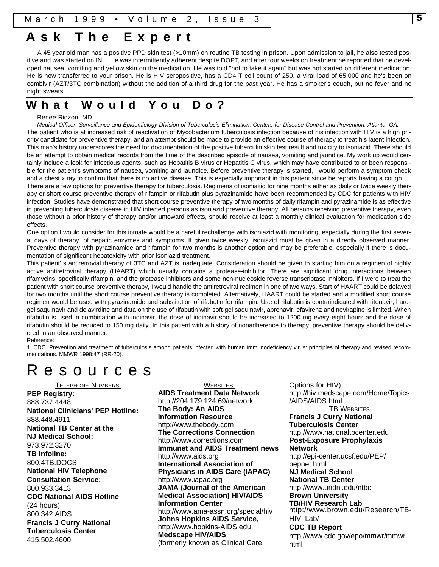## **Ask The Exper t**

A 45 year old man has a positive PPD skin test (>10mm) on routine TB testing in prison. Upon admission to jail, he also tested positive and was started on INH. He was intermittently adherent despite DOPT, and after four weeks on treatment he reported that he developed nausea, vomiting and yellow skin on the medication. He was told "not to take it again" but was not started on different medication. He is now transferred to your prison. He is HIV seropositive, has a CD4 T cell count of 250, a viral load of 65,000 and he's been on combivir (AZT/3TC combination) without the addition of a third drug for the past year. He has a smoker's cough, but no fever and no night sweats.

## **What Would You Do?**

#### Renee Ridzon, MD

*Medical Officer, Surveillance and Epidemiology Division of Tuberculosis Elimination, Centers for Disease Control and Prevention, Atlanta, GA.* The patient who is at increased risk of reactivation of Mycobacterium tuberculosis infection because of his infection with HIV is a high priority candidate for preventive therapy, and an attempt should be made to provide an effective course of therapy to treat his latent infection. This man's history underscores the need for documentation of the positive tuberculin skin test result and toxicity to isoniazid. There should be an attempt to obtain medical records from the time of the described episode of nausea, vomiting and jaundice. My work up would certainly include a look for infectious agents, such as Hepatitis B virus or Hepatitis C virus, which may have contributed to or been responsible for the patient's symptoms of nausea, vomiting and jaundice. Before preventive therapy is started, I would perform a symptom check and a chest x ray to confirm that there is no active disease. This is especially important in this patient since he reports having a cough.

There are a few options for preventive therapy for tuberculosis. Regimens of isoniazid for nine months either as daily or twice weekly therapy or short course preventive therapy of rifampin or rifabutin plus pyrazinamide have been recommended by CDC for patients with HIV infection. Studies have demonstrated that short course preventive therapy of two months of daily rifampin and pyrazinamide is as effective in preventing tuberculosis disease in HIV infected persons as isoniazid preventive therapy. All persons receiving preventive therapy, even those without a prior history of therapy and/or untoward effects, should receive at least a monthly clinical evaluation for medication side effects.

One option I would consider for this inmate would be a careful rechallenge with isoniazid with monitoring, especially during the first several days of therapy, of hepatic enzymes and symptoms. If given twice weekly, isoniazid must be given in a directly observed manner. Preventive therapy with pyrazinamide and rifampin for two months is another option and may be preferable, especially if there is documentation of significant hepatoxicity with prior isoniazid treatment.

This patient' s antiretrovial therapy of 3TC and AZT is inadequate. Consideration should be given to starting him on a regimen of highly active antiretroviral therapy (HAART) which usually contains a protease-inhibitor. There are significant drug interactions between rifamycins, specifically rifampin, and the protease inhibitors and some non-nucleoside reverse transcriptase inhibitors. If I were to treat the patient with short course preventive therapy, I would handle the antiretroviral regimen in one of two ways. Start of HAART could be delayed for two months until the short course preventive therapy is completed. Alternatively, HAART could be started and a modified short course regimen would be used with pyrazinamide and substitution of rifabutin for rifampin. Use of rifabutin is contraindicated with ritonavir, hardgel saquinavir and delavirdine and data on the use of rifabutin with soft-gel saquinavir, aprenavir, efavirenz and nevirapine is limited. When rifabutin is used in combination with indinavir, the dose of indinavir should be increased to 1200 mg every eight hours and the dose of rifabutin should be reduced to 150 mg daily. In this patient with a history of nonadherence to therapy, preventive therapy should be delivered in an observed manner.

#### Reference:

1. CDC. Prevention and treatment of tuberculosis among patients infected with human immunodeficiency virus: principles of therapy and revised recommendations. MMWR 1998:47 (RR-20).

## Resource s

TELEPHONE NUMBERS: **PEP Registry:** 888.737.4448 **National Clinicians' PEP Hotline:** 888.448.4911 **National TB Center at the NJ Medical School:** 973.972.3270 **TB Infoline:** 800.4TB.DOCS **National HIV Telephone Consultation Service:** 800.933.3413 **CDC National AIDS Hotline** (24 hours): 800.342.AIDS **Francis J Curry National Tuberculosis Center** 415.502.4600

WEBSITES: **AIDS Treatment Data Network** http://204.179.124.69/network **The Body: An AIDS Information Resource** http://www.thebody.com **The Corrections Connection** http://www.corrections.com **Immunet and AIDS Treatment news** http://www.aids.org **International Association of Physicians in AIDS Care (IAPAC)** http://www.iapac.org **JAMA (Journal of the American Medical Association) HIV/AIDS Information Center** http://www.ama-assn.org/special/hiv **Johns Hopkins AIDS Service,** http://www.hopkins-AIDS.edu **Medscape HIV/AIDS** (formerly known as Clinical Care

Options for HIV) http://hiv.medscape.com/Home/Topics /AIDS/AIDS.html **TB WEBSITES: Francis J Curry National Tuberculosis Center** http://www.nationaltbcenter.edu **Post-Exposure Prophylaxis Network** http://epi-center.ucsf.edu/PEP/ pepnet.html **NJ Medical School National TB Center** http://www.undnj.edu/ntbc **Brown University TB/HIV Research Lab** http://www.brown.edu/Research/TB-HIV\_Lab/ **CDC TB Report** http://www.cdc.gov/epo/mmwr/mmwr. html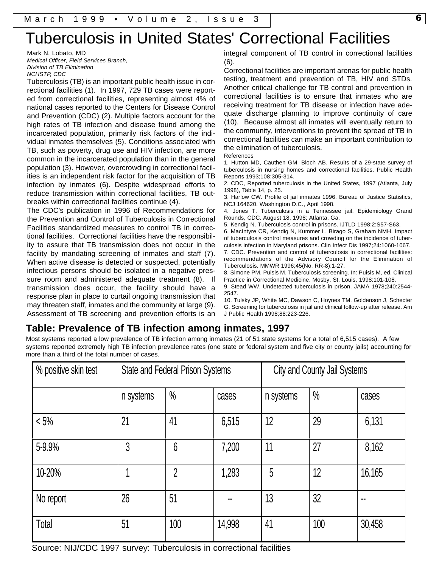# Tuberculosis in United States' Correctional Facilities

Mark N. Lobato, MD *Medical Officer, Field Services Branch, Division of TB Elimination NCHSTP, CDC*

Tuberculosis (TB) is an important public health issue in correctional facilities (1). In 1997, 729 TB cases were reported from correctional facilities, representing almost 4% of national cases reported to the Centers for Disease Control and Prevention (CDC) (2). Multiple factors account for the high rates of TB infection and disease found among the incarcerated population, primarily risk factors of the individual inmates themselves (5). Conditions associated with TB, such as poverty, drug use and HIV infection, are more common in the incarcerated population than in the general population (3). However, overcrowding in correctional facilities is an independent risk factor for the acquisition of TB infection by inmates (6). Despite widespread efforts to reduce transmission within correctional facilities, TB outbreaks within correctional facilities continue (4).

The CDC's publication in 1996 of Recommendations for the Prevention and Control of Tuberculosis in Correctional Facilities standardized measures to control TB in correctional facilities. Correctional facilities have the responsibility to assure that TB transmission does not occur in the facility by mandating screening of inmates and staff (7). When active disease is detected or suspected, potentially infectious persons should be isolated in a negative pressure room and administered adequate treatment (8). If transmission does occur, the facility should have a response plan in place to curtail ongoing transmission that may threaten staff, inmates and the community at large (9). Assessment of TB screening and prevention efforts is an integral component of TB control in correctional facilities (6).

Correctional facilities are important arenas for public health testing, treatment and prevention of TB, HIV and STDs. Another critical challenge for TB control and prevention in correctional facilities is to ensure that inmates who are receiving treatment for TB disease or infection have adequate discharge planning to improve continuity of care (10). Because almost all inmates will eventually return to the community, interventions to prevent the spread of TB in correctional facilities can make an important contribution to the elimination of tuberculosis.

References

1. Hutton MD, Cauthen GM, Bloch AB. Results of a 29-state survey of tuberculosis in nursing homes and correctional facilities. Public Health Reports 1993;108:305-314.

2. CDC, Reported tuberculosis in the United States, 1997 (Atlanta, July 1998), Table 14, p. 25.

3. Harlow CW. Profile of jail inmates 1996. Bureau of Justice Statistics, NCJ 164620. Washington D.C., April 1998.

4. Jones T. Tuberculosis in a Tennessee jail. Epidemiology Grand Rounds, CDC. August 18, 1998; Atlanta, Ga.

5. Kendig N. Tuberculosis control in prisons. IJTLD 1998;2:S57-S63.

6. MacIntyre CR, Kendig N, Kummer L, Birago S, Graham NMH. Impact of tuberculosis control measures and crowding on the incidence of tuberculosis infection in Maryland prisons. Clin Infect Dis 1997;24:1060-1067.

7. CDC. Prevention and control of tuberculosis in correctional facilities: recommendations of the Advisory Council for the Elimination of Tuberculosis. MMWR 1996;45(No. RR-8):1-27.

8. Simone PM, Puisis M. Tuberculosis screening. In: Puisis M, ed. Clinical Practice in Correctional Medicine. Mosby, St. Louis, 1998:101-108.

9. Stead WW. Undetected tuberculosis in prison. JAMA 1978;240:2544- 2547.

10. Tulsky JP, White MC, Dawson C, Hoynes TM, Goldenson J, Schecter G. Screening for tuberculosis in jail and clinical follow-up after release. Am J Public Health 1998;88:223-226.

## **Table: Prevalence of TB infection among inmates, 1997**

systems reported extremely high TB infection prevalence rates (one state or federal system and five city or county jails) accounting for<br>more than a third of the total number of cases Most systems reported a low prevalence of TB infection among inmates (21 of 51 state systems for a total of 6,515 cases). A few more than a third of the total number of cases.

| % positive skin test |           | <b>State and Federal Prison Systems</b> |        | City and County Jail Systems |               |        |  |
|----------------------|-----------|-----------------------------------------|--------|------------------------------|---------------|--------|--|
|                      | n systems | $\frac{0}{0}$                           | cases  | n systems                    | $\frac{0}{0}$ | cases  |  |
| $< 5\%$              | 21        | 41                                      | 6,515  | 12                           | 29            | 6,131  |  |
| 5-9.9%               | 3         | $6\overline{6}$                         | 7,200  | 11                           | 27            | 8,162  |  |
| 10-20%               |           | $\overline{2}$                          | 1,283  | 5                            | 12            | 16,165 |  |
| No report            | 26        | 51                                      |        | 13                           | 32            | $\sim$ |  |
| Total                | 51        | 100                                     | 14,998 | 41                           | 100           | 30,458 |  |

Source: NIJ/CDC 1997 survey: Tuberculosis in correctional facilities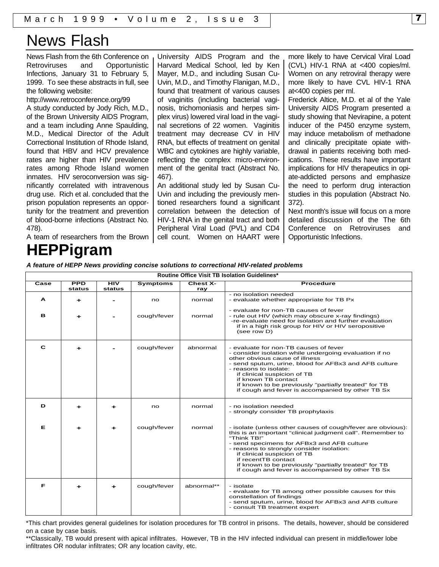# News Flash

News Flash from the 6th Conference on Retroviruses and Opportunistic Infections, January 31 to February 5, 1999. To see these abstracts in full, see the following website:

http://www.retroconference.org/99

A study conducted by Jody Rich, M.D., of the Brown University AIDS Program, and a team including Anne Spaulding, M.D., Medical Director of the Adult Correctional Institution of Rhode Island, found that HBV and HCV prevalence rates are higher than HIV prevalence rates among Rhode Island women inmates. HIV seroconversion was significantly correlated with intravenous drug use. Rich et al. concluded that the prison population represents an opportunity for the treatment and prevention of blood-borne infections (Abstract No. 478).

University AIDS Program and the Harvard Medical School, led by Ken Mayer, M.D., and including Susan Cu-Uvin, M.D., and Timothy Flanigan, M.D., found that treatment of various causes of vaginitis (including bacterial vaginosis, trichomoniasis and herpes simplex virus) lowered viral load in the vaginal secretions of 22 women. Vaginitis treatment may decrease CV in HIV RNA, but effects of treatment on genital WBC and cytokines are highly variable, reflecting the complex micro-environment of the genital tract (Abstract No. 467).

An additional study led by Susan Cu-Uvin and including the previously mentioned researchers found a significant correlation between the detection of HIV-1 RNA in the genital tract and both Peripheral Viral Load (PVL) and CD4 cell count. Women on HAART were more likely to have Cervical Viral Load (CVL) HIV-1 RNA at <400 copies/ml. Women on any retroviral therapy were more likely to have CVL HIV-1 RNA at<400 copies per ml.

Frederick Altice, M.D. et al of the Yale University AIDS Program presented a study showing that Nevirapine, a potent inducer of the P450 enzyme system, may induce metabolism of methadone and clinically precipitate opiate withdrawal in patients receiving both medications. These results have important implications for HIV therapeutics in opiate-addicted persons and emphasize the need to perform drug interaction studies in this population (Abstract No. 372).

Next month's issue will focus on a more detailed discussion of the The 6th Conference on Retroviruses and Opportunistic Infections.

A team of researchers from the Brown

# **HEPPigram**

*A feature of HEPP News providing concise solutions to correctional HIV-related problems*

| Routine Office Visit TB Isolation Guidelines* |                      |               |                 |                        |                                                                                                                                                                                                                                                                                                                                                                                                       |  |  |  |
|-----------------------------------------------|----------------------|---------------|-----------------|------------------------|-------------------------------------------------------------------------------------------------------------------------------------------------------------------------------------------------------------------------------------------------------------------------------------------------------------------------------------------------------------------------------------------------------|--|--|--|
| $\overline{\mathbf{Case}}$                    | <b>PPD</b><br>status | HIV<br>status | <b>Symptoms</b> | <b>Chest X-</b><br>ray | <b>Procedure</b>                                                                                                                                                                                                                                                                                                                                                                                      |  |  |  |
|                                               |                      |               |                 |                        | - no isolation needed                                                                                                                                                                                                                                                                                                                                                                                 |  |  |  |
| A                                             | +                    |               | no              | normal                 | - evaluate whether appropriate for TB Px                                                                                                                                                                                                                                                                                                                                                              |  |  |  |
| в                                             |                      |               | cough/fever     | normal                 | - evaluate for non-TB causes of fever<br>- rule out HIV (which may obscure x-ray findings)<br>-re-evaluate need for isolation and further evaluation<br>if in a high risk group for HIV or HIV seropositive<br>(see row D)                                                                                                                                                                            |  |  |  |
| C                                             |                      |               | cough/fever     | abnormal               | - evaluate for non-TB causes of fever<br>- consider isolation while undergoing evaluation if no<br>other obvious cause of illness<br>- send sputum, urine, blood for AFBx3 and AFB culture<br>- reasons to isolate:<br>if clinical suspicion of TB<br>if known TB contact<br>if known to be previously "partially treated" for TB<br>if cough and fever is accompanied by other TB Sx                 |  |  |  |
| D                                             |                      | +             | no              | normal                 | - no isolation needed<br>- strongly consider TB prophylaxis                                                                                                                                                                                                                                                                                                                                           |  |  |  |
| Е                                             |                      |               | cough/fever     | normal                 | - isolate (unless other causes of cough/fever are obvious):<br>this is an important "clinical judgment call". Remember to<br>"Think TB!"<br>- send specimens for AFBx3 and AFB culture<br>- reasons to strongly consider isolation:<br>if clinical suspicion of TB<br>if recentTB contact<br>if known to be previously "partially treated" for TB<br>if cough and fever is accompanied by other TB Sx |  |  |  |
| F                                             | +                    | ÷             | cough/fever     | abnormal**             | - isolate<br>- evaluate for TB among other possible causes for this<br>constellation of findings<br>- send sputum, urine, blood for AFBx3 and AFB culture<br>- consult TB treatment expert                                                                                                                                                                                                            |  |  |  |

\*This chart provides general guidelines for isolation procedures for TB control in prisons. The details, however, should be considered on a case by case basis.

\*\*Classically, TB would present with apical infiltrates. However, TB in the HIV infected individual can present in middle/lower lobe infiltrates OR nodular infiltrates; OR any location cavity, etc.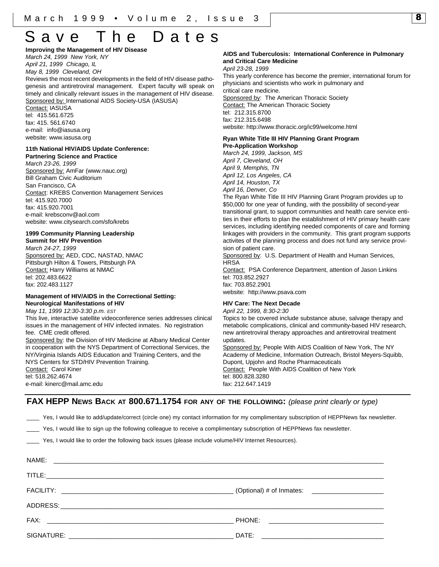**Improving the Management of HIV Disease** *March 24, 1999 New York, NY*

*April 21, 1999 Chicago, IL*

*May 8, 1999 Cleveland, OH*

Reviews the most recent developments in the field of HIV disease pathogenesis and antiretroviral management. Expert faculty will speak on timely and clinically relevant issues in the management of HIV disease. Sponsored by: International AIDS Society-USA (IASUSA)

Contact: IASUSA tel: 415.561.6725 fax: 415. 561.6740 e-mail: info@iasusa.org website: www.iasusa.org

## **11th National HIV/AIDS Update Conference:**

**Partnering Science and Practice** *March 23-26, 1999* Sponsored by: AmFar (www.nauc.org) Bill Graham Civic Auditorium San Francisco, CA Contact: KREBS Convention Management Services tel: 415.920.7000 fax: 415.920.7001 e-mail: krebsconv@aol.com website: www.citysearch.com/sfo/krebs

#### **1999 Community Planning Leadership Summit for HIV Prevention**

*March 24-27, 1999* Sponsored by: AED, CDC, NASTAD, NMAC Pittsburgh Hilton & Towers, Pittsburgh PA Contact: Harry Williams at NMAC tel: 202.483.6622 fax: 202.483.1127

#### **Management of HIV/AIDS in the Correctional Setting: Neurological Manifestations of HIV**

*May 11, 1999 12:30-3:30 p.m. EST* This live, interactive satellite videoconference series addresses clinical issues in the management of HIV infected inmates. No registration fee. CME credit offered.

Sponsored by: the Division of HIV Medicine at Albany Medical Center in cooperation with the NYS Department of Correctional Services, the NY/Virginia Islands AIDS Education and Training Centers, and the NYS Centers for STD/HIV Prevention Training. Contact: Carol Kiner tel: 518.262.4674 e-mail: kinerc@mail.amc.edu

#### **AIDS and Tuberculosis: International Conference in Pulmonary and Critical Care Medicine**

*April 23-28, 1999*

This yearly conference has become the premier, international forum for physicians and scientists who work in pulmonary and critical care medicine. Sponsored by: The American Thoracic Society **Contact: The American Thoracic Society** tel: 212.315.8700 fax: 212.315.6498 website: http://www.thoracic.org/ic99/welcome.html

## **Ryan White Title III HIV Planning Grant Program**

**Pre-Application Workshop** *March 24, 1999, Jackson, MS April 7, Cleveland, OH April 9, Memphis, TN April 12, Los Angeles, CA April 14, Houston, TX April 16, Denver, Co*

The Ryan White Title III HIV Planning Grant Program provides up to \$50,000 for one year of funding, with the possibility of second-year transitional grant, to support communities and health care service entities in their efforts to plan the establishment of HIV primary health care services, including identifying needed components of care and forming linkages with providers in the community. This grant program supports activites of the planning process and does not fund any service provision of patient care.

Sponsored by: U.S. Department of Health and Human Services, **HRSA** 

Contact: PSA Conference Department, attention of Jason Linkins tel: 703.852.2927 fax: 703.852.2901

website: http://www.psava.com

#### **HIV Care: The Next Decade**

*April 22, 1999, 8:30-2:30* Topics to be covered include substance abuse, salvage therapy and metabolic complications, clinical and community-based HIV research, new antiretroviral therapy approaches and antiretroviral treatment updates. Sponsored by: People With AIDS Coalition of New York, The NY

Academy of Medicine, Information Outreach, Bristol Meyers-Squibb, Dupont, Upjohn and Roche Pharmaceuticals Contact: People With AIDS Coalition of New York tel: 800.828.3280 fax: 212.647.1419

### **FAX HEPP NEWS BACK AT 800.671.1754 FOR ANY OF THE FOLLOWING:** *(please print clearly or type)*

Yes, I would like to add/update/correct (circle one) my contact information for my complimentary subscription of HEPPNews fax newsletter.

Yes, I would like to sign up the following colleague to receive a complimentary subscription of HEPPNews fax newsletter.

Yes, I would like to order the following back issues (please include volume/HIV Internet Resources).

| (Optional) # of Inmates: ________________________                                                  |
|----------------------------------------------------------------------------------------------------|
|                                                                                                    |
|                                                                                                    |
| DATE:<br>the control of the control of the control of the control of the control of the control of |